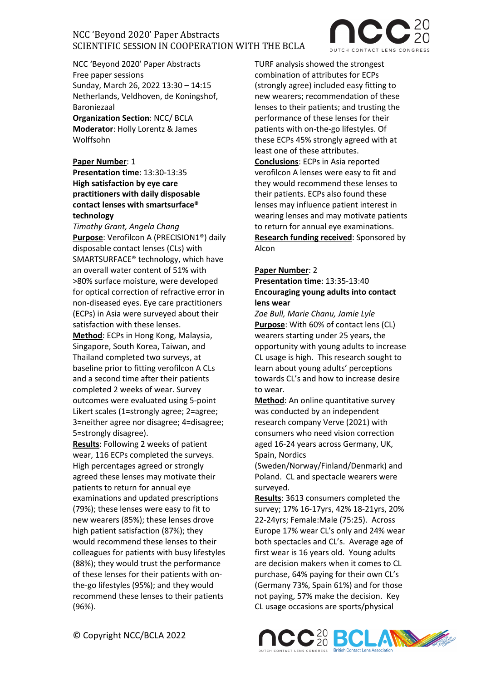

NCC 'Beyond 2020' Paper Abstracts Free paper sessions Sunday, March 26, 2022 13:30 – 14:15 Netherlands, Veldhoven, de Koningshof, Baroniezaal

**Organization Section**: NCC/ BCLA **Moderator**: Holly Lorentz & James Wolffsohn

**Paper Number**: 1

### **Presentation time**: 13:30-13:35 **High satisfaction by eye care practitioners with daily disposable contact lenses with smartsurface® technology**

*Timothy Grant, Angela Chang* **Purpose**: Verofilcon A (PRECISION1®) daily disposable contact lenses (CLs) with SMARTSURFACE® technology, which have an overall water content of 51% with >80% surface moisture, were developed for optical correction of refractive error in non-diseased eyes. Eye care practitioners (ECPs) in Asia were surveyed about their satisfaction with these lenses.

**Method**: ECPs in Hong Kong, Malaysia, Singapore, South Korea, Taiwan, and Thailand completed two surveys, at baseline prior to fitting verofilcon A CLs and a second time after their patients completed 2 weeks of wear. Survey outcomes were evaluated using 5-point Likert scales (1=strongly agree; 2=agree; 3=neither agree nor disagree; 4=disagree; 5=strongly disagree).

**Results**: Following 2 weeks of patient wear, 116 ECPs completed the surveys. High percentages agreed or strongly agreed these lenses may motivate their patients to return for annual eye examinations and updated prescriptions (79%); these lenses were easy to fit to new wearers (85%); these lenses drove high patient satisfaction (87%); they would recommend these lenses to their colleagues for patients with busy lifestyles (88%); they would trust the performance of these lenses for their patients with onthe-go lifestyles (95%); and they would recommend these lenses to their patients (96%).

TURF analysis showed the strongest combination of attributes for ECPs (strongly agree) included easy fitting to new wearers; recommendation of these lenses to their patients; and trusting the performance of these lenses for their patients with on-the-go lifestyles. Of these ECPs 45% strongly agreed with at least one of these attributes. **Conclusions**: ECPs in Asia reported verofilcon A lenses were easy to fit and they would recommend these lenses to their patients. ECPs also found these lenses may influence patient interest in wearing lenses and may motivate patients to return for annual eye examinations. **Research funding received**: Sponsored by Alcon

### **Paper Number**: 2

### **Presentation time**: 13:35-13:40 **Encouraging young adults into contact lens wear**

*Zoe Bull, Marie Chanu, Jamie Lyle* **Purpose**: With 60% of contact lens (CL) wearers starting under 25 years, the opportunity with young adults to increase CL usage is high. This research sought to learn about young adults' perceptions towards CL's and how to increase desire to wear.

**Method**: An online quantitative survey was conducted by an independent research company Verve (2021) with consumers who need vision correction aged 16-24 years across Germany, UK, Spain, Nordics

(Sweden/Norway/Finland/Denmark) and Poland. CL and spectacle wearers were surveyed.

**Results**: 3613 consumers completed the survey; 17% 16-17yrs, 42% 18-21yrs, 20% 22-24yrs; Female:Male (75:25). Across Europe 17% wear CL's only and 24% wear both spectacles and CL's. Average age of first wear is 16 years old. Young adults are decision makers when it comes to CL purchase, 64% paying for their own CL's (Germany 73%, Spain 61%) and for those not paying, 57% make the decision. Key CL usage occasions are sports/physical

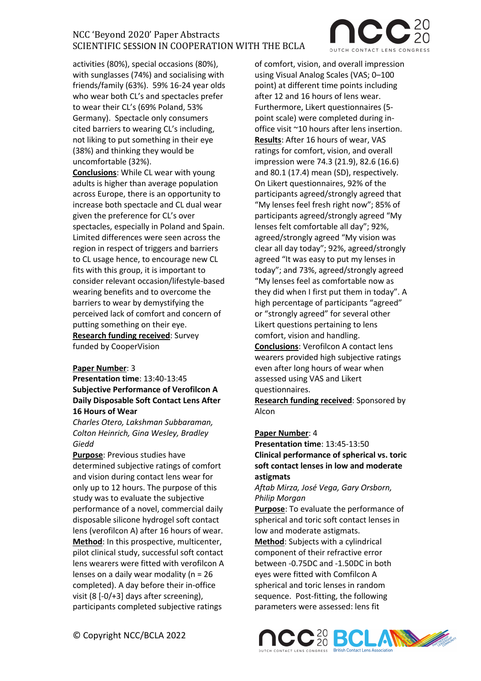activities (80%), special occasions (80%), with sunglasses (74%) and socialising with friends/family (63%). 59% 16-24 year olds who wear both CL's and spectacles prefer to wear their CL's (69% Poland, 53% Germany). Spectacle only consumers cited barriers to wearing CL's including, not liking to put something in their eye (38%) and thinking they would be uncomfortable (32%).

**Conclusions**: While CL wear with young adults is higher than average population across Europe, there is an opportunity to increase both spectacle and CL dual wear given the preference for CL's over spectacles, especially in Poland and Spain. Limited differences were seen across the region in respect of triggers and barriers to CL usage hence, to encourage new CL fits with this group, it is important to consider relevant occasion/lifestyle-based wearing benefits and to overcome the barriers to wear by demystifying the perceived lack of comfort and concern of putting something on their eye. **Research funding received**: Survey funded by CooperVision

#### **Paper Number**: 3

**Presentation time**: 13:40-13:45 **Subjective Performance of Verofilcon A Daily Disposable Soft Contact Lens After 16 Hours of Wear**

*Charles Otero, Lakshman Subbaraman, Colton Heinrich, Gina Wesley, Bradley Giedd*

**Purpose**: Previous studies have determined subjective ratings of comfort and vision during contact lens wear for only up to 12 hours. The purpose of this study was to evaluate the subjective performance of a novel, commercial daily disposable silicone hydrogel soft contact lens (verofilcon A) after 16 hours of wear. **Method**: In this prospective, multicenter, pilot clinical study, successful soft contact lens wearers were fitted with verofilcon A lenses on a daily wear modality (n = 26 completed). A day before their in-office visit (8 [-0/+3] days after screening), participants completed subjective ratings

of comfort, vision, and overall impression using Visual Analog Scales (VAS; 0-100 point) at different time points including after 12 and 16 hours of lens wear. Furthermore, Likert questionnaires (5 point scale) were completed during inoffice visit ~10 hours after lens insertion. **Results**: After 16 hours of wear, VAS ratings for comfort, vision, and overall impression were 74.3 (21.9), 82.6 (16.6) and 80.1 (17.4) mean (SD), respectively. On Likert questionnaires, 92% of the participants agreed/strongly agreed that "My lenses feel fresh right now"; 85% of participants agreed/strongly agreed "My lenses felt comfortable all day"; 92%, agreed/strongly agreed "My vision was clear all day today"; 92%, agreed/strongly agreed "It was easy to put my lenses in today"; and 73%, agreed/strongly agreed "My lenses feel as comfortable now as they did when I first put them in today". A high percentage of participants "agreed" or "strongly agreed" for several other Likert questions pertaining to lens comfort, vision and handling. **Conclusions**: Verofilcon A contact lens wearers provided high subjective ratings

even after long hours of wear when assessed using VAS and Likert questionnaires.

**Research funding received**: Sponsored by Alcon

#### **Paper Number**: 4

**Presentation time**: 13:45-13:50 **Clinical performance of spherical vs. toric soft contact lenses in low and moderate astigmats**

#### *Aftab Mirza, José Vega, Gary Orsborn, Philip Morgan*

**Purpose**: To evaluate the performance of spherical and toric soft contact lenses in low and moderate astigmats.

**Method**: Subjects with a cylindrical component of their refractive error between -0.75DC and -1.50DC in both eyes were fitted with Comfilcon A spherical and toric lenses in random sequence. Post-fitting, the following parameters were assessed: lens fit



© Copyright NCC/BCLA 2022

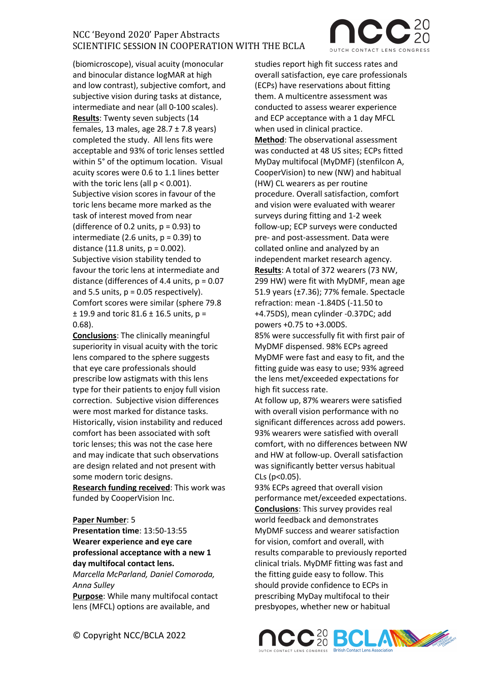(biomicroscope), visual acuity (monocular and binocular distance logMAR at high and low contrast), subjective comfort, and subjective vision during tasks at distance, intermediate and near (all 0-100 scales). **Results**: Twenty seven subjects (14 females, 13 males, age  $28.7 \pm 7.8$  years) completed the study. All lens fits were acceptable and 93% of toric lenses settled within 5° of the optimum location. Visual acuity scores were 0.6 to 1.1 lines better with the toric lens (all  $p < 0.001$ ). Subjective vision scores in favour of the toric lens became more marked as the task of interest moved from near (difference of 0.2 units,  $p = 0.93$ ) to intermediate (2.6 units,  $p = 0.39$ ) to distance  $(11.8 \text{ units}, p = 0.002)$ . Subjective vision stability tended to favour the toric lens at intermediate and distance (differences of 4.4 units,  $p = 0.07$ and 5.5 units,  $p = 0.05$  respectively). Comfort scores were similar (sphere 79.8  $± 19.9$  and toric 81.6  $± 16.5$  units, p = 0.68).

**Conclusions**: The clinically meaningful superiority in visual acuity with the toric lens compared to the sphere suggests that eye care professionals should prescribe low astigmats with this lens type for their patients to enjoy full vision correction. Subjective vision differences were most marked for distance tasks. Historically, vision instability and reduced comfort has been associated with soft toric lenses; this was not the case here and may indicate that such observations are design related and not present with some modern toric designs.

**Research funding received**: This work was funded by CooperVision Inc.

#### **Paper Number**: 5

**Presentation time**: 13:50-13:55 **Wearer experience and eye care professional acceptance with a new 1 day multifocal contact lens.**

*Marcella McParland, Daniel Comoroda, Anna Sulley*

**Purpose**: While many multifocal contact lens (MFCL) options are available, and

studies report high fit success rates and overall satisfaction, eye care professionals (ECPs) have reservations about fitting them. A multicentre assessment was conducted to assess wearer experience and ECP acceptance with a 1 day MFCL when used in clinical practice. **Method**: The observational assessment was conducted at 48 US sites; ECPs fitted MyDay multifocal (MyDMF) (stenfilcon A, CooperVision) to new (NW) and habitual (HW) CL wearers as per routine procedure. Overall satisfaction, comfort and vision were evaluated with wearer surveys during fitting and 1-2 week follow-up; ECP surveys were conducted pre- and post-assessment. Data were collated online and analyzed by an independent market research agency. **Results**: A total of 372 wearers (73 NW, 299 HW) were fit with MyDMF, mean age 51.9 years (±7.36); 77% female. Spectacle refraction: mean -1.84DS (-11.50 to +4.75DS), mean cylinder -0.37DC; add powers +0.75 to +3.00DS. 85% were successfully fit with first pair of

MyDMF dispensed. 98% ECPs agreed MyDMF were fast and easy to fit, and the fitting guide was easy to use; 93% agreed the lens met/exceeded expectations for high fit success rate.

At follow up, 87% wearers were satisfied with overall vision performance with no significant differences across add powers. 93% wearers were satisfied with overall comfort, with no differences between NW and HW at follow-up. Overall satisfaction was significantly better versus habitual CLs (p<0.05).

93% ECPs agreed that overall vision performance met/exceeded expectations. **Conclusions**: This survey provides real world feedback and demonstrates MyDMF success and wearer satisfaction for vision, comfort and overall, with results comparable to previously reported clinical trials. MyDMF fitting was fast and the fitting guide easy to follow. This should provide confidence to ECPs in prescribing MyDay multifocal to their presbyopes, whether new or habitual



© Copyright NCC/BCLA 2022

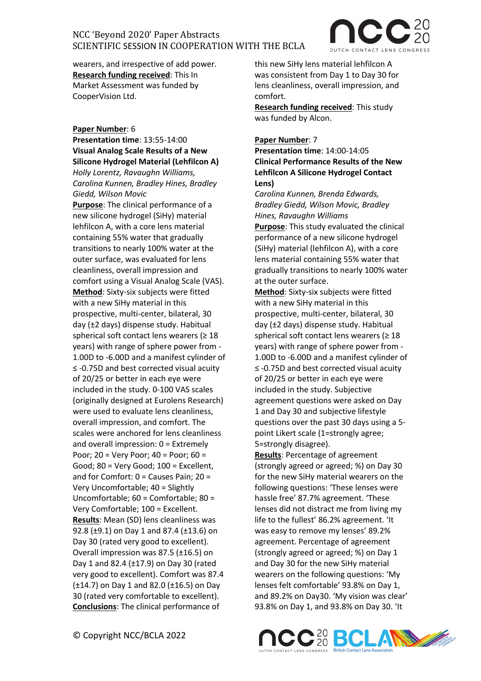wearers, and irrespective of add power. **Research funding received**: This In Market Assessment was funded by CooperVision Ltd.

### **Paper Number**: 6

**Presentation time**: 13:55-14:00 **Visual Analog Scale Results of a New Silicone Hydrogel Material (Lehfilcon A)** *Holly Lorentz, Ravaughn Williams, Carolina Kunnen, Bradley Hines, Bradley Giedd, Wilson Movic*

**Purpose**: The clinical performance of a new silicone hydrogel (SiHy) material lehfilcon A, with a core lens material containing 55% water that gradually transitions to nearly 100% water at the outer surface, was evaluated for lens cleanliness, overall impression and comfort using a Visual Analog Scale (VAS). **Method**: Sixty-six subjects were fitted with a new SiHy material in this prospective, multi-center, bilateral, 30 day (±2 days) dispense study. Habitual spherical soft contact lens wearers ( $\geq 18$ ) years) with range of sphere power from - 1.00D to -6.00D and a manifest cylinder of ≤ -0.75D and best corrected visual acuity of 20/25 or better in each eye were included in the study. 0-100 VAS scales (originally designed at Eurolens Research) were used to evaluate lens cleanliness, overall impression, and comfort. The scales were anchored for lens cleanliness and overall impression: 0 = Extremely Poor; 20 = Very Poor; 40 = Poor; 60 = Good; 80 = Very Good; 100 = Excellent, and for Comfort: 0 = Causes Pain; 20 = Very Uncomfortable; 40 = Slightly Uncomfortable; 60 = Comfortable; 80 = Very Comfortable; 100 = Excellent. **Results**: Mean (SD) lens cleanliness was 92.8 (±9.1) on Day 1 and 87.4 (±13.6) on Day 30 (rated very good to excellent). Overall impression was 87.5 (±16.5) on Day 1 and 82.4 (±17.9) on Day 30 (rated very good to excellent). Comfort was 87.4  $(\pm 14.7)$  on Day 1 and 82.0 ( $\pm 16.5$ ) on Day 30 (rated very comfortable to excellent). **Conclusions**: The clinical performance of

this new SiHy lens material lehfilcon A was consistent from Day 1 to Day 30 for lens cleanliness, overall impression, and comfort.

**Research funding received**: This study was funded by Alcon.

### **Paper Number**: 7

**Presentation time**: 14:00-14:05 **Clinical Performance Results of the New Lehfilcon A Silicone Hydrogel Contact Lens)**

*Carolina Kunnen, Brenda Edwards, Bradley Giedd, Wilson Movic, Bradley Hines, Ravaughn Williams* **Purpose**: This study evaluated the clinical performance of a new silicone hydrogel (SiHy) material (lehfilcon A), with a core lens material containing 55% water that gradually transitions to nearly 100% water at the outer surface.

**Method**: Sixty-six subjects were fitted with a new SiHy material in this prospective, multi-center, bilateral, 30 day (±2 days) dispense study. Habitual spherical soft contact lens wearers ( $\geq 18$ ) years) with range of sphere power from - 1.00D to -6.00D and a manifest cylinder of ≤ -0.75D and best corrected visual acuity of 20/25 or better in each eye were included in the study. Subjective agreement questions were asked on Day 1 and Day 30 and subjective lifestyle questions over the past 30 days using a 5 point Likert scale (1=strongly agree; 5=strongly disagree).

**Results**: Percentage of agreement (strongly agreed or agreed; %) on Day 30 for the new SiHy material wearers on the following questions: 'These lenses were hassle free' 87.7% agreement. 'These lenses did not distract me from living my life to the fullest' 86.2% agreement. 'It was easy to remove my lenses' 89.2% agreement. Percentage of agreement (strongly agreed or agreed; %) on Day 1 and Day 30 for the new SiHy material wearers on the following questions: 'My lenses felt comfortable' 93.8% on Day 1, and 89.2% on Day30. 'My vision was clear' 93.8% on Day 1, and 93.8% on Day 30. 'It

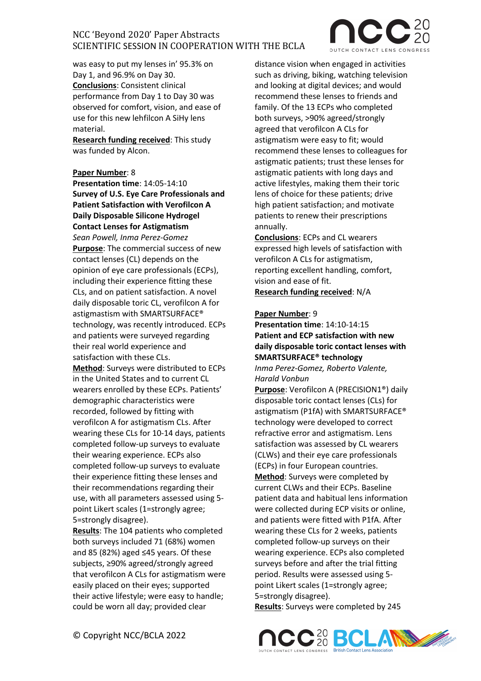

was easy to put my lenses in' 95.3% on Day 1, and 96.9% on Day 30. **Conclusions**: Consistent clinical performance from Day 1 to Day 30 was observed for comfort, vision, and ease of use for this new lehfilcon A SiHy lens material.

**Research funding received**: This study was funded by Alcon.

### **Paper Number**: 8

**Presentation time**: 14:05-14:10 **Survey of U.S. Eye Care Professionals and Patient Satisfaction with Verofilcon A Daily Disposable Silicone Hydrogel Contact Lenses for Astigmatism**  *Sean Powell, Inma Perez-Gomez* **Purpose**: The commercial success of new contact lenses (CL) depends on the opinion of eye care professionals (ECPs), including their experience fitting these CLs, and on patient satisfaction. A novel daily disposable toric CL, verofilcon A for astigmastism with SMARTSURFACE® technology, was recently introduced. ECPs and patients were surveyed regarding their real world experience and satisfaction with these CLs.

**Method**: Surveys were distributed to ECPs in the United States and to current CL wearers enrolled by these ECPs. Patients' demographic characteristics were recorded, followed by fitting with verofilcon A for astigmatism CLs. After wearing these CLs for 10-14 days, patients completed follow-up surveys to evaluate their wearing experience. ECPs also completed follow-up surveys to evaluate their experience fitting these lenses and their recommendations regarding their use, with all parameters assessed using 5 point Likert scales (1=strongly agree; 5=strongly disagree).

**Results**: The 104 patients who completed both surveys included 71 (68%) women and 85 (82%) aged ≤45 years. Of these subjects, ≥90% agreed/strongly agreed that verofilcon A CLs for astigmatism were easily placed on their eyes; supported their active lifestyle; were easy to handle; could be worn all day; provided clear

distance vision when engaged in activities such as driving, biking, watching television and looking at digital devices; and would recommend these lenses to friends and family. Of the 13 ECPs who completed both surveys, >90% agreed/strongly agreed that verofilcon A CLs for astigmatism were easy to fit; would recommend these lenses to colleagues for astigmatic patients; trust these lenses for astigmatic patients with long days and active lifestyles, making them their toric lens of choice for these patients; drive high patient satisfaction; and motivate patients to renew their prescriptions annually.

**Conclusions**: ECPs and CL wearers expressed high levels of satisfaction with verofilcon A CLs for astigmatism, reporting excellent handling, comfort, vision and ease of fit. **Research funding received**: N/A

#### **Paper Number**: 9

### **Presentation time**: 14:10-14:15 **Patient and ECP satisfaction with new daily disposable toric contact lenses with SMARTSURFACE® technology**

*Inma Perez-Gomez, Roberto Valente, Harald Vonbun*

**Purpose**: Verofilcon A (PRECISION1®) daily disposable toric contact lenses (CLs) for astigmatism (P1fA) with SMARTSURFACE® technology were developed to correct refractive error and astigmatism. Lens satisfaction was assessed by CL wearers (CLWs) and their eye care professionals (ECPs) in four European countries. **Method**: Surveys were completed by current CLWs and their ECPs. Baseline patient data and habitual lens information were collected during ECP visits or online, and patients were fitted with P1fA. After wearing these CLs for 2 weeks, patients completed follow-up surveys on their wearing experience. ECPs also completed surveys before and after the trial fitting period. Results were assessed using 5 point Likert scales (1=strongly agree; 5=strongly disagree).

**Results**: Surveys were completed by 245